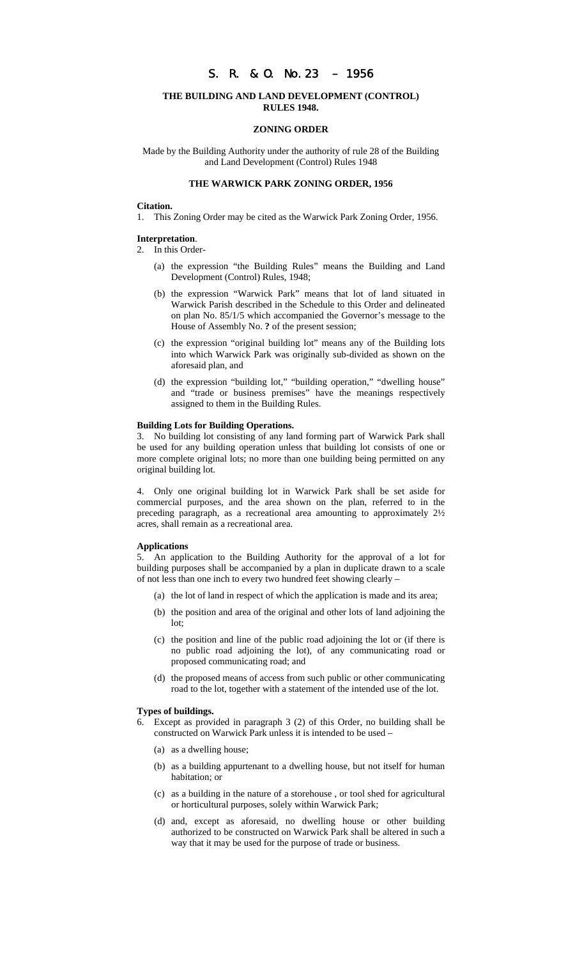# S. R. & O. No.23 – 1956

# **THE BUILDING AND LAND DEVELOPMENT (CONTROL) RULES 1948.**

### **ZONING ORDER**

Made by the Building Authority under the authority of rule 28 of the Building and Land Development (Control) Rules 1948

# **THE WARWICK PARK ZONING ORDER, 1956**

### **Citation.**

1. This Zoning Order may be cited as the Warwick Park Zoning Order, 1956.

## **Interpretation**.

2. In this Order-

- (a) the expression "the Building Rules" means the Building and Land Development (Control) Rules, 1948;
- (b) the expression "Warwick Park" means that lot of land situated in Warwick Parish described in the Schedule to this Order and delineated on plan No. 85/1/5 which accompanied the Governor's message to the House of Assembly No. **?** of the present session;
- (c) the expression "original building lot" means any of the Building lots into which Warwick Park was originally sub-divided as shown on the aforesaid plan, and
- (d) the expression "building lot," "building operation," "dwelling house" and "trade or business premises" have the meanings respectively assigned to them in the Building Rules.

#### **Building Lots for Building Operations.**

3. No building lot consisting of any land forming part of Warwick Park shall be used for any building operation unless that building lot consists of one or more complete original lots; no more than one building being permitted on any original building lot.

4. Only one original building lot in Warwick Park shall be set aside for commercial purposes, and the area shown on the plan, referred to in the preceding paragraph, as a recreational area amounting to approximately 2½ acres, shall remain as a recreational area.

#### **Applications**

5. An application to the Building Authority for the approval of a lot for building purposes shall be accompanied by a plan in duplicate drawn to a scale of not less than one inch to every two hundred feet showing clearly –

- (a) the lot of land in respect of which the application is made and its area;
- (b) the position and area of the original and other lots of land adjoining the lot;
- (c) the position and line of the public road adjoining the lot or (if there is no public road adjoining the lot), of any communicating road or proposed communicating road; and
- (d) the proposed means of access from such public or other communicating road to the lot, together with a statement of the intended use of the lot.

### **Types of buildings.**

- Except as provided in paragraph 3 (2) of this Order, no building shall be constructed on Warwick Park unless it is intended to be used –
	- (a) as a dwelling house;
	- (b) as a building appurtenant to a dwelling house, but not itself for human habitation; or
	- (c) as a building in the nature of a storehouse , or tool shed for agricultural or horticultural purposes, solely within Warwick Park;
	- (d) and, except as aforesaid, no dwelling house or other building authorized to be constructed on Warwick Park shall be altered in such a way that it may be used for the purpose of trade or business.